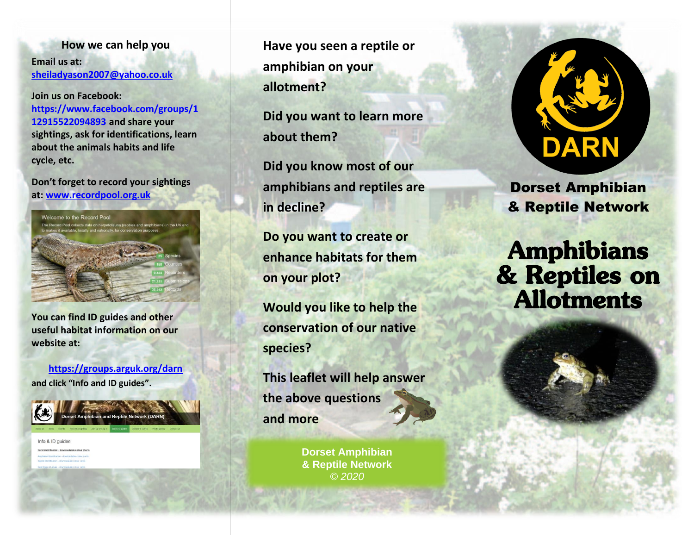**How we can help you Email us at: [sheiladyason2007@yahoo.co.uk](mailto:sheiladyason2007@yahoo.co.uk)**

**Join us on Facebook: https://www.facebook.com/groups/1 12915522094893 and share your sightings, ask for identifications, learn about the animals habits and life cycle, etc.**

**Don't forget to record your sightings at: [www.recordpool.org.uk](http://www.recordpool.org.uk/)**



**You can find ID guides and other useful habitat information on our website at:**

**[https://groups.arguk.org/d](https://groups.arguk.org/)arn and click "Info and ID guides".**



Info & ID guides

**Have you seen a reptile or amphibian on your allotment?**

**Did you want to learn more about them?**

**Did you know most of our amphibians and reptiles are in decline?**

**Do you want to create or enhance habitats for them on your plot?**

**Would you like to help the conservation of our native species?**

**This leaflet will help answer the above questions and more** 

> **Dorset Amphibian & Reptile Network** *© 2020*



Dorset Amphibian & Reptile Network

**Amphibians** & Reptiles on **Allotments**